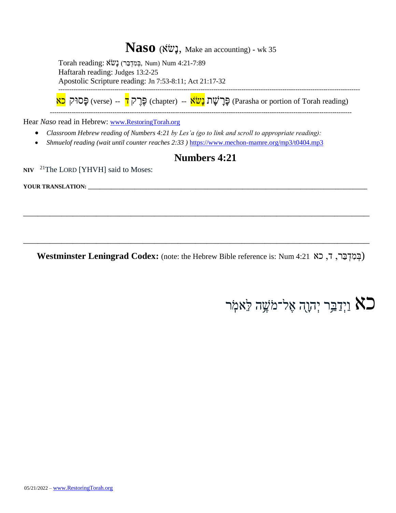### **Naso** (אֹׂשָנ, Make an accounting) **-** wk 35

|                                    | Torah reading: גִּמְדְבַּר) נָשׂאׁ (פְּמְדָבּת Num) Num 4:21-7:89                                                          |
|------------------------------------|----------------------------------------------------------------------------------------------------------------------------|
|                                    | Haftarah reading: Judges 13:2-25                                                                                           |
|                                    | Apostolic Scripture reading: Jn 7:53-8:11; Act 21:17-32                                                                    |
|                                    |                                                                                                                            |
|                                    | (Parasha or portion of Torah reading) פֵּרֲלֹעֲת <mark>נָשׂאׁ (chapter) -- (Parasha or portion of Torah reading</mark> ) פ |
|                                    | Hear Naso read in Hebrew: www.RestoringTorah.org                                                                           |
| $\bullet$                          | Classroom Hebrew reading of Numbers 4:21 by Les'a (go to link and scroll to appropriate reading):                          |
|                                    | Shmuelof reading (wait until counter reaches 2:33) https://www.mechon-mamre.org/mp3/t0404.mp3                              |
|                                    | <b>Numbers 4:21</b>                                                                                                        |
|                                    | $NIV$ <sup>21</sup> The LORD [YHVH] said to Moses:                                                                         |
| <b>YOUR TRANSLATION:</b> _________ |                                                                                                                            |
|                                    |                                                                                                                            |
|                                    |                                                                                                                            |
|                                    |                                                                                                                            |

**Westminster Leningrad Codex:** (note: the Hebrew Bible reference is: Num 4:21כא , ד ,רַּב ְּד ִמ ְּב(

**\_\_\_\_\_\_\_\_\_\_\_\_\_\_\_\_\_\_\_\_\_\_\_\_\_\_\_\_\_\_\_\_\_\_\_\_\_\_\_\_\_\_\_\_\_\_\_\_\_\_\_\_\_\_\_\_\_\_\_\_\_\_\_\_\_\_\_\_\_\_\_\_\_\_\_\_\_\_\_\_\_\_\_\_\_\_\_\_\_\_\_\_\_\_\_\_\_\_\_\_\_\_\_\_\_\_\_\_\_\_\_\_\_\_\_\_\_\_\_**

# כא וַיְדַבֵּר יְהוָה אֶל־מֹשֶׁה לֵּאמֹֽר  $\mathsf{K}\mathsf{D}$

**NIV**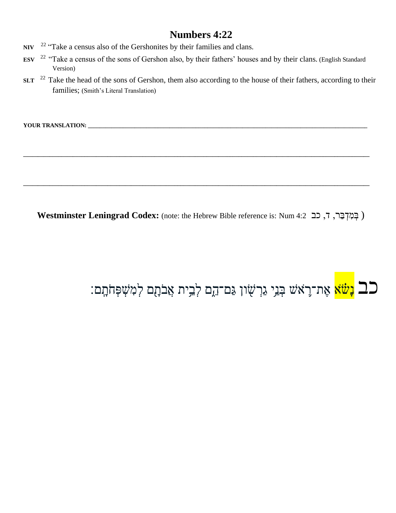- $22$  "Take a census also of the Gershonites by their families and clans.  $NIV$
- <sup>22</sup> "Take a census of the sons of Gershon also, by their fathers' houses and by their clans. (English Standard **ESV** Version)
- <sup>22</sup> Take the head of the sons of Gershon, them also according to the house of their fathers, according to their **SLT** families; (Smith's Literal Translation)

Westminster Leningrad Codex: (note: the Hebrew Bible reference is: Num 4:2 בְּמִדְבַּר, ד, כב Vestminster Leningrad Codex: (note: the Hebrew Bible reference is: Num

# ב<mark>ב נְשֹׂא</mark> אֶת־רֶאֹשׁ בְּנֵי גִּרְשָׂון גַּם־הֵם לְבֵית אֲבֹתָם לְמִשְׁפְּחֹתָם: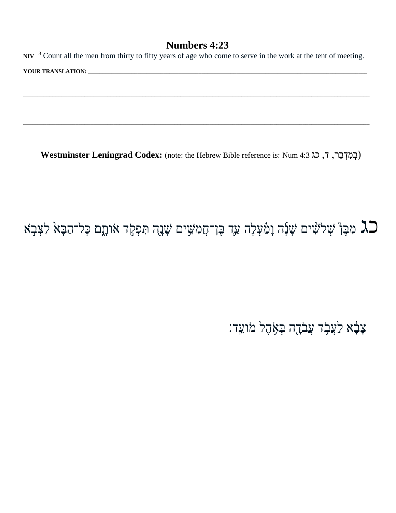**NIV**  <sup>3</sup> Count all the men from thirty to fifty years of age who come to serve in the work at the tent of meeting. **YOUR TRANSLATION: \_\_\_\_\_\_\_\_\_\_\_\_\_\_\_\_\_\_\_\_\_\_\_\_\_\_\_\_\_\_\_\_\_\_\_\_\_\_\_\_\_\_\_\_\_\_\_\_\_\_\_\_\_\_\_\_\_\_\_\_\_\_\_\_\_\_\_\_\_\_\_\_\_\_\_\_\_\_\_\_\_\_\_\_\_\_\_\_\_\_\_\_\_\_\_\_**

**\_\_\_\_\_\_\_\_\_\_\_\_\_\_\_\_\_\_\_\_\_\_\_\_\_\_\_\_\_\_\_\_\_\_\_\_\_\_\_\_\_\_\_\_\_\_\_\_\_\_\_\_\_\_\_\_\_\_\_\_\_\_\_\_\_\_\_\_\_\_\_\_\_\_\_\_\_\_\_\_\_\_\_\_\_\_\_\_\_\_\_\_\_\_\_\_\_\_\_\_\_\_\_\_\_\_\_\_\_\_\_\_\_\_\_\_\_\_\_**

**\_\_\_\_\_\_\_\_\_\_\_\_\_\_\_\_\_\_\_\_\_\_\_\_\_\_\_\_\_\_\_\_\_\_\_\_\_\_\_\_\_\_\_\_\_\_\_\_\_\_\_\_\_\_\_\_\_\_\_\_\_\_\_\_\_\_\_\_\_\_\_\_\_\_\_\_\_\_\_\_\_\_\_\_\_\_\_\_\_\_\_\_\_\_\_\_\_\_\_\_\_\_\_\_\_\_\_\_\_\_\_\_\_\_\_\_\_\_\_**

**Westminster Leningrad Codex:** (note: the Hebrew Bible reference is: Num 4:3 ג כ ,ד ,רַּב ְּד ִמ ְּב(

### כג מִבֶּןْ שְׁלֹעִּים שָׁנָּה וָמַ֫עְלָה עַד בֶּן־חֲמִשִׁים שָׁנָה תִּפְקֹד אֹותָם כָּל־הַבָּאֹ לִצְבָאׁ  $\square$

צָּבָ<mark>ּׂא לַעֲבָר עֲבֹדֻה בְּאָ</mark>ּהֶל מֹועֵד: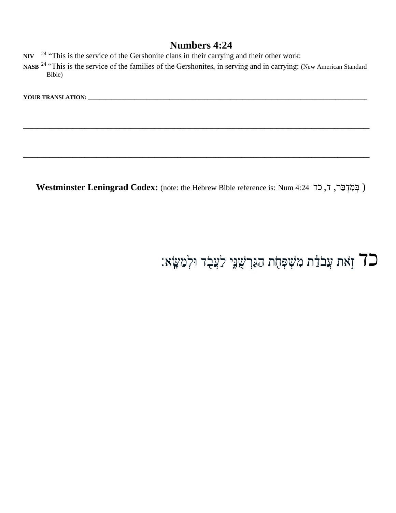- NIV <sup>24</sup> "This is the service of the Gershonite clans in their carrying and their other work:
- NASB<sup>24</sup> "This is the service of the families of the Gershonites, in serving and in carrying: (New American Standard Bible)

**\_\_\_\_\_\_\_\_\_\_\_\_\_\_\_\_\_\_\_\_\_\_\_\_\_\_\_\_\_\_\_\_\_\_\_\_\_\_\_\_\_\_\_\_\_\_\_\_\_\_\_\_\_\_\_\_\_\_\_\_\_\_\_\_\_\_\_\_\_\_\_\_\_\_\_\_\_\_\_\_\_\_\_\_\_\_\_\_\_\_\_\_\_\_\_\_\_\_\_\_\_\_\_\_\_\_\_\_\_\_\_\_\_\_\_\_\_\_\_**

**\_\_\_\_\_\_\_\_\_\_\_\_\_\_\_\_\_\_\_\_\_\_\_\_\_\_\_\_\_\_\_\_\_\_\_\_\_\_\_\_\_\_\_\_\_\_\_\_\_\_\_\_\_\_\_\_\_\_\_\_\_\_\_\_\_\_\_\_\_\_\_\_\_\_\_\_\_\_\_\_\_\_\_\_\_\_\_\_\_\_\_\_\_\_\_\_\_\_\_\_\_\_\_\_\_\_\_\_\_\_\_\_\_\_\_\_\_\_\_**

**YOUR TRANSLATION: \_\_\_\_\_\_\_\_\_\_\_\_\_\_\_\_\_\_\_\_\_\_\_\_\_\_\_\_\_\_\_\_\_\_\_\_\_\_\_\_\_\_\_\_\_\_\_\_\_\_\_\_\_\_\_\_\_\_\_\_\_\_\_\_\_\_\_\_\_\_\_\_\_\_\_\_\_\_\_\_\_\_\_\_\_\_\_\_\_\_\_\_\_\_\_\_**

Westminster Leningrad Codex: (note: the Hebrew Bible reference is: Num 4:24 כְּמִדְבַּר, ד, כד 4:24 (

# כד זָאת עֲבֹדַּ֫ת מִשְׁפְּחָת הַגֵּרְשָׁנֵּ֣יְ לַעֲבָד וּלְמַשָּׂא׃ "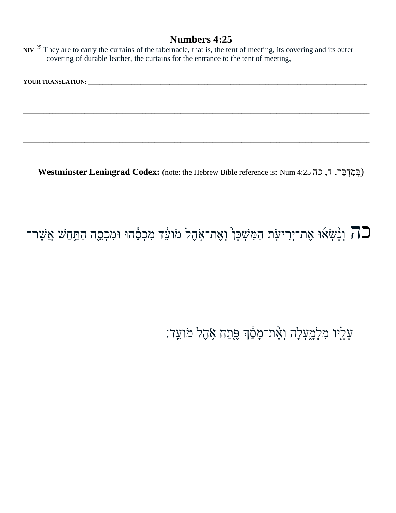NIV  $25$  They are to carry the curtains of the tabernacle, that is, the tent of meeting, its covering and its outer covering of durable leather, the curtains for the entrance to the tent of meeting,

| <b>YOUR TRANSLATION:</b> |  |
|--------------------------|--|
|                          |  |

Westminster Leningrad Codex: (note: the Hebrew Bible reference is: Num 4:25 רְ, כָה ,

## רה וְנָשְׂאוּ אֶת־יְרִיעָׂת הַמִּשְׁכָּן וְאֶת־אָהֶל מֹועֵד מִכְםֶהוּ וּמִכְסֵה הַתַּחַשׁ אֲשֶׁר־

עֲלָיו מִלְמֲעָלָה וָאֶת־מָפַ֫הָ פֵּתַח אָהֶל מֹוֹעֵד: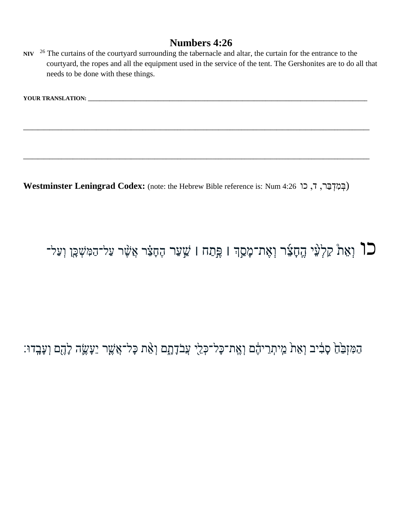NIV  $^{26}$  The curtains of the courtyard surrounding the tabernacle and altar, the curtain for the entrance to the courtyard, the ropes and all the equipment used in the service of the tent. The Gershonites are to do all that needs to be done with these things.

**YOUR TRANSLATION:** THE RESERVE OF A 2005 OF A 2006 OF A 2006 OF A 2006 OF A 2006 OF A 2007 OF A 2006 OF A 2007 OF A 2006 OF A 2007 OF A 2007 OF A 2007 OF A 2007 OF A 2007 OF A 2007 OF A 2007 OF A 2007 OF A 2007 OF A 2007

Westminster Leningrad Codex: (note: the Hebrew Bible reference is: Num 4:26 , כן סובר, ד, כו

### ר וְאֵת קַלְעֵי הֶחָצִר וְאֶת־מָסַךְ ו פֶּתַח ו שַׁעַר הֶחָצִר אֲשֶׁר עַל־הַמִּשְׁכֶּן וְעַל־C

הַמִּזְבֵּׂחַ סָבִ֫יב וְאֵתֹ מֵיתְרֵיהֶם וְאֶת־כָּל־כְּלֵי עֲבֹדָתֶם וְאֵת כָּל־אֲשֶׁך יֵעָשֶׂה לָהֶם וְעָבְדוּ: